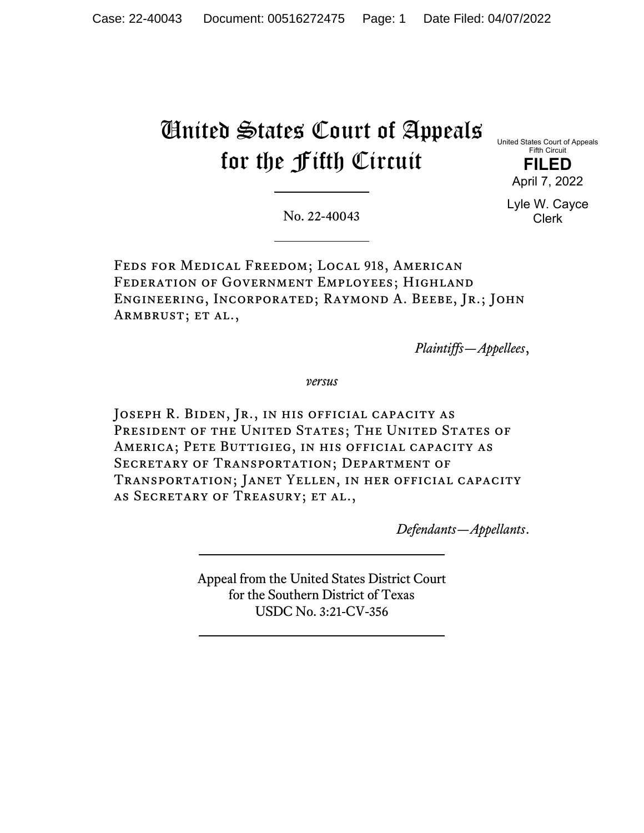# United States Court of Appeals for the Fifth Circuit

United States Court of Appeals Fifth Circuit **FILED** April 7, 2022

> Lyle W. Cayce Clerk

No. 22-40043

Feds for Medical Freedom; Local 918, American Federation of Government Employees; Highland Engineering, Incorporated; Raymond A. Beebe, Jr.; John ARMBRUST; ET AL.,

*Plaintiffs—Appellees*,

*versus*

JOSEPH R. BIDEN, JR., IN HIS OFFICIAL CAPACITY AS PRESIDENT OF THE UNITED STATES; THE UNITED STATES OF America; Pete Buttigieg, in his official capacity as Secretary of Transportation; Department of Transportation; Janet Yellen, in her official capacity as Secretary of Treasury; et al.,

*Defendants—Appellants*.

Appeal from the United States District Court for the Southern District of Texas USDC No. 3:21-CV-356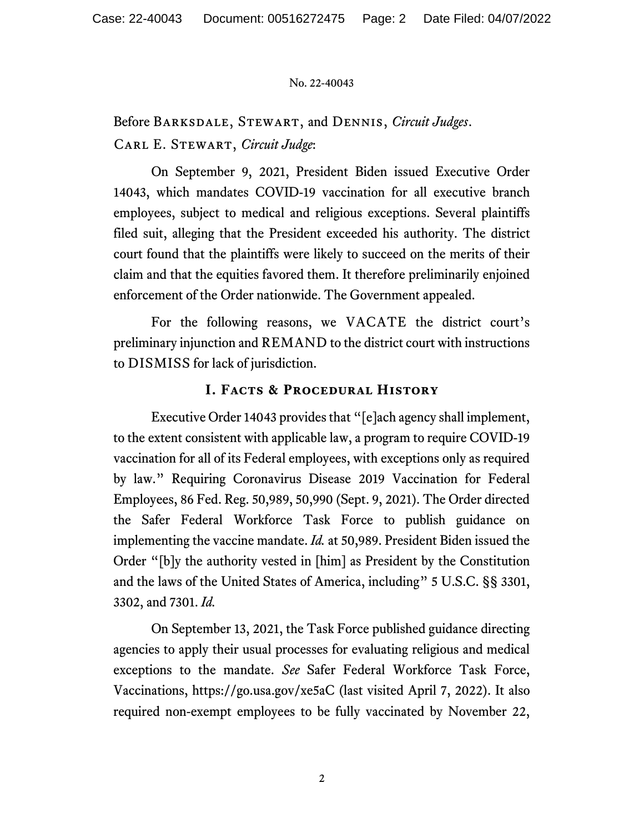Before Barksdale, Stewart, and Dennis, *Circuit Judges*. Carl E. Stewart, *Circuit Judge*:

On September 9, 2021, President Biden issued Executive Order 14043, which mandates COVID-19 vaccination for all executive branch employees, subject to medical and religious exceptions. Several plaintiffs filed suit, alleging that the President exceeded his authority. The district court found that the plaintiffs were likely to succeed on the merits of their claim and that the equities favored them. It therefore preliminarily enjoined enforcement of the Order nationwide. The Government appealed.

For the following reasons, we VACATE the district court's preliminary injunction and REMAND to the district court with instructions to DISMISS for lack of jurisdiction.

## **I. Facts & Procedural History**

Executive Order 14043 provides that "[e]ach agency shall implement, to the extent consistent with applicable law, a program to require COVID-19 vaccination for all of its Federal employees, with exceptions only as required by law." Requiring Coronavirus Disease 2019 Vaccination for Federal Employees, 86 Fed. Reg. 50,989, 50,990 (Sept. 9, 2021). The Order directed the Safer Federal Workforce Task Force to publish guidance on implementing the vaccine mandate. *Id.* at 50,989. President Biden issued the Order "[b]y the authority vested in [him] as President by the Constitution and the laws of the United States of America, including" 5 U.S.C. §§ 3301, 3302, and 7301. *Id.*

On September 13, 2021, the Task Force published guidance directing agencies to apply their usual processes for evaluating religious and medical exceptions to the mandate. *See* Safer Federal Workforce Task Force, Vaccinations, https://go.usa.gov/xe5aC (last visited April 7, 2022). It also required non-exempt employees to be fully vaccinated by November 22,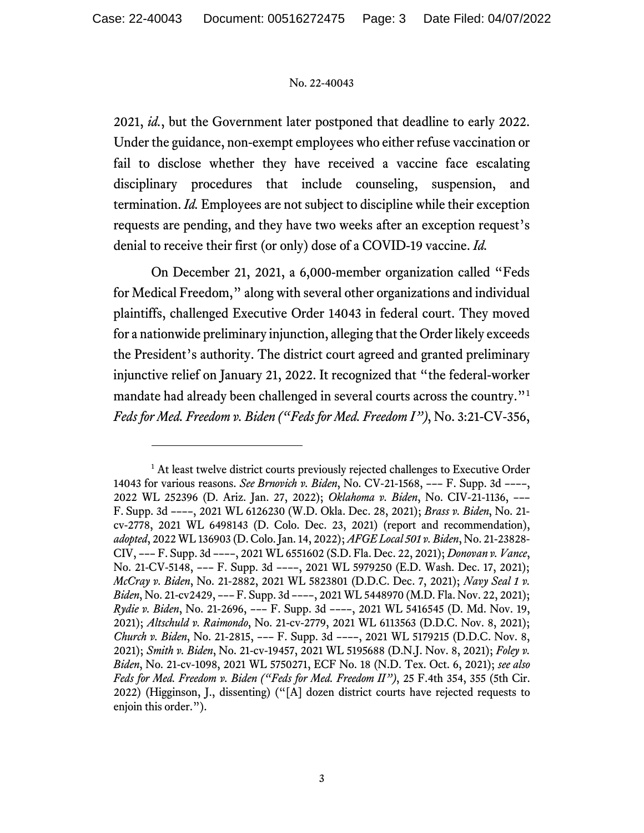2021, *id.*, but the Government later postponed that deadline to early 2022. Under the guidance, non-exempt employees who either refuse vaccination or fail to disclose whether they have received a vaccine face escalating disciplinary procedures that include counseling, suspension, and termination. *Id.* Employees are not subject to discipline while their exception requests are pending, and they have two weeks after an exception request's denial to receive their first (or only) dose of a COVID-19 vaccine. *Id.*

On December 21, 2021, a 6,000-member organization called "Feds for Medical Freedom," along with several other organizations and individual plaintiffs, challenged Executive Order 14043 in federal court. They moved for a nationwide preliminary injunction, alleging that the Order likely exceeds the President's authority. The district court agreed and granted preliminary injunctive relief on January 21, 2022. It recognized that "the federal-worker mandate had already been challenged in several courts across the country."<sup>[1](#page-2-0)</sup> *Feds for Med. Freedom v. Biden ("Feds for Med. Freedom I")*, No. 3:21-CV-356,

<span id="page-2-0"></span><sup>&</sup>lt;sup>1</sup> At least twelve district courts previously rejected challenges to Executive Order 14043 for various reasons. *See Brnovich v. Biden*, No. CV-21-1568, ––– F. Supp. 3d ––––, 2022 WL 252396 (D. Ariz. Jan. 27, 2022); *Oklahoma v. Biden*, No. CIV-21-1136, ––– F. Supp. 3d ––––, 2021 WL 6126230 (W.D. Okla. Dec. 28, 2021); *Brass v. Biden*, No. 21 cv-2778, 2021 WL 6498143 (D. Colo. Dec. 23, 2021) (report and recommendation), *adopted*, 2022 WL 136903 (D. Colo. Jan. 14, 2022); *AFGE Local 501 v. Biden*, No. 21-23828- CIV, ––– F. Supp. 3d ––––, 2021 WL 6551602 (S.D. Fla. Dec. 22, 2021); *Donovan v. Vance*, No. 21-CV-5148, ––– F. Supp. 3d ––––, 2021 WL 5979250 (E.D. Wash. Dec. 17, 2021); *McCray v. Biden*, No. 21-2882, 2021 WL 5823801 (D.D.C. Dec. 7, 2021); *Navy Seal 1 v. Biden*, No. 21-cv2429, ––– F. Supp. 3d ––––, 2021 WL 5448970 (M.D. Fla. Nov. 22, 2021); *Rydie v. Biden*, No. 21-2696, ––– F. Supp. 3d ––––, 2021 WL 5416545 (D. Md. Nov. 19, 2021); *Altschuld v. Raimondo*, No. 21-cv-2779, 2021 WL 6113563 (D.D.C. Nov. 8, 2021); *Church v. Biden*, No. 21-2815, ––– F. Supp. 3d ––––, 2021 WL 5179215 (D.D.C. Nov. 8, 2021); *Smith v. Biden*, No. 21-cv-19457, 2021 WL 5195688 (D.N.J. Nov. 8, 2021); *Foley v. Biden*, No. 21-cv-1098, 2021 WL 5750271, ECF No. 18 (N.D. Tex. Oct. 6, 2021); *see also Feds for Med. Freedom v. Biden ("Feds for Med. Freedom II")*, 25 F.4th 354, 355 (5th Cir. 2022) (Higginson, J., dissenting) ("[A] dozen district courts have rejected requests to enjoin this order.").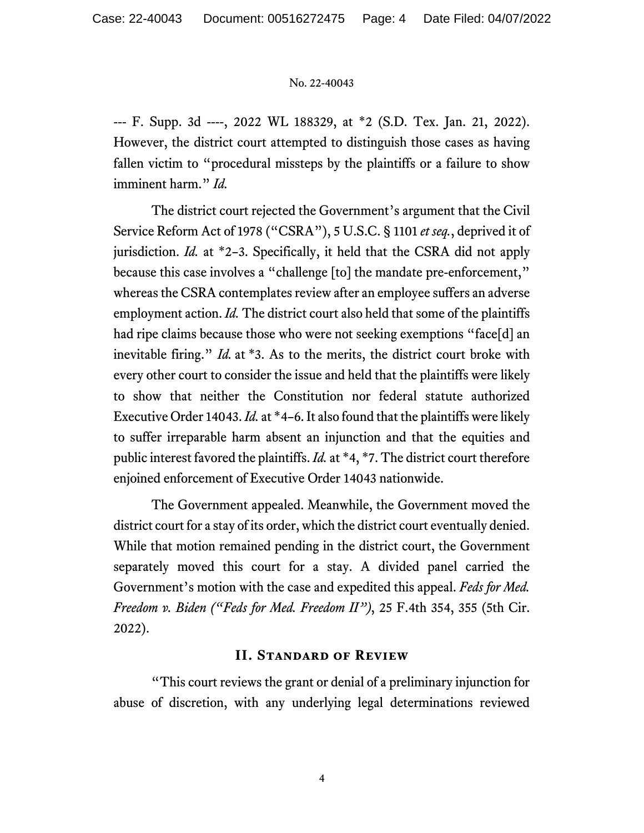--- F. Supp. 3d ----, 2022 WL 188329, at \*2 (S.D. Tex. Jan. 21, 2022). However, the district court attempted to distinguish those cases as having fallen victim to "procedural missteps by the plaintiffs or a failure to show imminent harm." *Id.*

The district court rejected the Government's argument that the Civil Service Reform Act of 1978 ("CSRA"), 5 U.S.C. § 1101 *et seq.*, deprived it of jurisdiction. *Id.* at \*2–3. Specifically, it held that the CSRA did not apply because this case involves a "challenge [to] the mandate pre-enforcement," whereas the CSRA contemplates review after an employee suffers an adverse employment action. *Id.* The district court also held that some of the plaintiffs had ripe claims because those who were not seeking exemptions "face[d] an inevitable firing." *Id.* at \*3. As to the merits, the district court broke with every other court to consider the issue and held that the plaintiffs were likely to show that neither the Constitution nor federal statute authorized Executive Order 14043. *Id.* at \*4–6. It also found that the plaintiffs were likely to suffer irreparable harm absent an injunction and that the equities and public interest favored the plaintiffs. *Id.* at \*4, \*7. The district court therefore enjoined enforcement of Executive Order 14043 nationwide.

The Government appealed. Meanwhile, the Government moved the district court for a stay of its order, which the district court eventually denied. While that motion remained pending in the district court, the Government separately moved this court for a stay. A divided panel carried the Government's motion with the case and expedited this appeal. *Feds for Med. Freedom v. Biden ("Feds for Med. Freedom II")*, 25 F.4th 354, 355 (5th Cir. 2022).

# **II. Standard of Review**

"This court reviews the grant or denial of a preliminary injunction for abuse of discretion, with any underlying legal determinations reviewed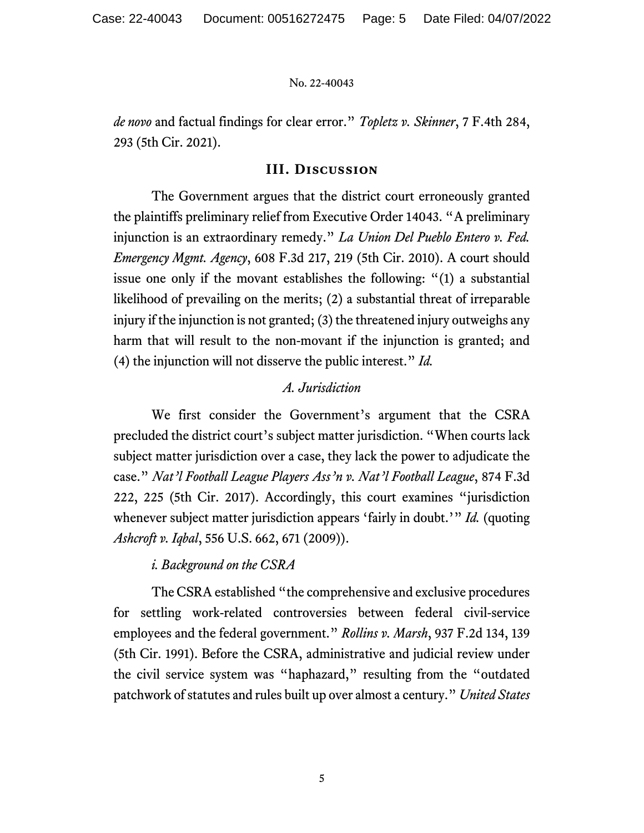*de novo* and factual findings for clear error." *Topletz v. Skinner*, 7 F.4th 284, 293 (5th Cir. 2021).

## **III. Discussion**

The Government argues that the district court erroneously granted the plaintiffs preliminary relief from Executive Order 14043. "A preliminary injunction is an extraordinary remedy." *La Union Del Pueblo Entero v. Fed. Emergency Mgmt. Agency*, 608 F.3d 217, 219 (5th Cir. 2010). A court should issue one only if the movant establishes the following: "(1) a substantial likelihood of prevailing on the merits; (2) a substantial threat of irreparable injury if the injunction is not granted; (3) the threatened injury outweighs any harm that will result to the non-movant if the injunction is granted; and (4) the injunction will not disserve the public interest." *Id.*

# *A. Jurisdiction*

We first consider the Government's argument that the CSRA precluded the district court's subject matter jurisdiction. "When courts lack subject matter jurisdiction over a case, they lack the power to adjudicate the case." *Nat'l Football League Players Ass'n v. Nat'l Football League*, 874 F.3d 222, 225 (5th Cir. 2017). Accordingly, this court examines "jurisdiction whenever subject matter jurisdiction appears 'fairly in doubt.'" *Id.* (quoting *Ashcroft v. Iqbal*, 556 U.S. 662, 671 (2009)).

# *i. Background on the CSRA*

The CSRA established "the comprehensive and exclusive procedures for settling work-related controversies between federal civil-service employees and the federal government." *Rollins v. Marsh*, 937 F.2d 134, 139 (5th Cir. 1991). Before the CSRA, administrative and judicial review under the civil service system was "haphazard," resulting from the "outdated patchwork of statutes and rules built up over almost a century." *United States*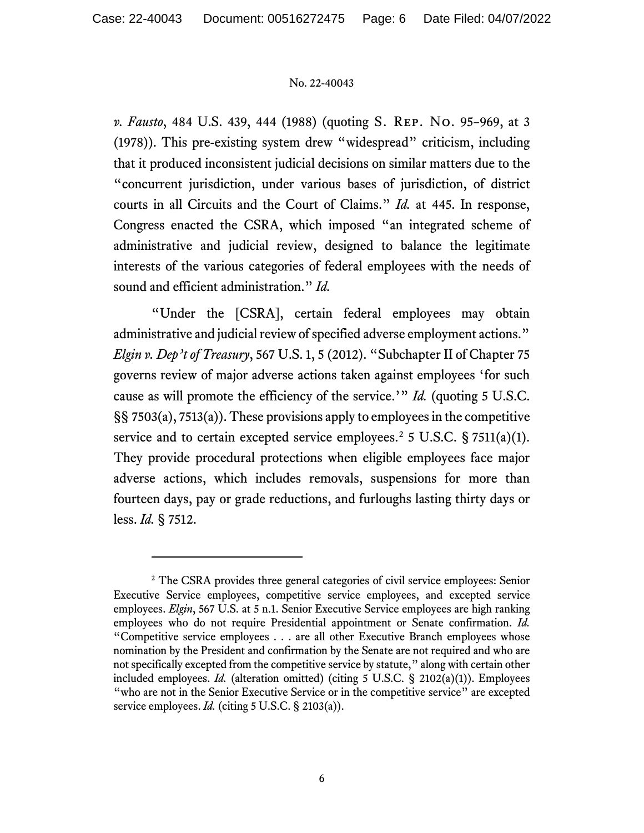*v. Fausto*, 484 U.S. 439, 444 (1988) (quoting S. Rep. No. 95–969, at 3 (1978)). This pre-existing system drew "widespread" criticism, including that it produced inconsistent judicial decisions on similar matters due to the "concurrent jurisdiction, under various bases of jurisdiction, of district courts in all Circuits and the Court of Claims." *Id.* at 445. In response, Congress enacted the CSRA, which imposed "an integrated scheme of administrative and judicial review, designed to balance the legitimate interests of the various categories of federal employees with the needs of sound and efficient administration." *Id.*

"Under the [CSRA], certain federal employees may obtain administrative and judicial review of specified adverse employment actions." *Elgin v. Dep't of Treasury*, 567 U.S. 1, 5 (2012). "Subchapter II of Chapter 75 governs review of major adverse actions taken against employees 'for such cause as will promote the efficiency of the service.'" *Id.* (quoting 5 U.S.C. §§ 7503(a), 7513(a)). These provisions apply to employees in the competitive service and to certain excepted service employees.<sup>[2](#page-5-0)</sup> 5 U.S.C. § 7511(a)(1). They provide procedural protections when eligible employees face major adverse actions, which includes removals, suspensions for more than fourteen days, pay or grade reductions, and furloughs lasting thirty days or less. *Id.* § 7512.

<span id="page-5-0"></span><sup>&</sup>lt;sup>2</sup> The CSRA provides three general categories of civil service employees: Senior Executive Service employees, competitive service employees, and excepted service employees. *Elgin*, 567 U.S. at 5 n.1. Senior Executive Service employees are high ranking employees who do not require Presidential appointment or Senate confirmation. *Id.* "Competitive service employees . . . are all other Executive Branch employees whose nomination by the President and confirmation by the Senate are not required and who are not specifically excepted from the competitive service by statute," along with certain other included employees. *Id.* (alteration omitted) (citing 5 U.S.C. § 2102(a)(1)). Employees "who are not in the Senior Executive Service or in the competitive service" are excepted service employees. *Id.* (citing 5 U.S.C. § 2103(a)).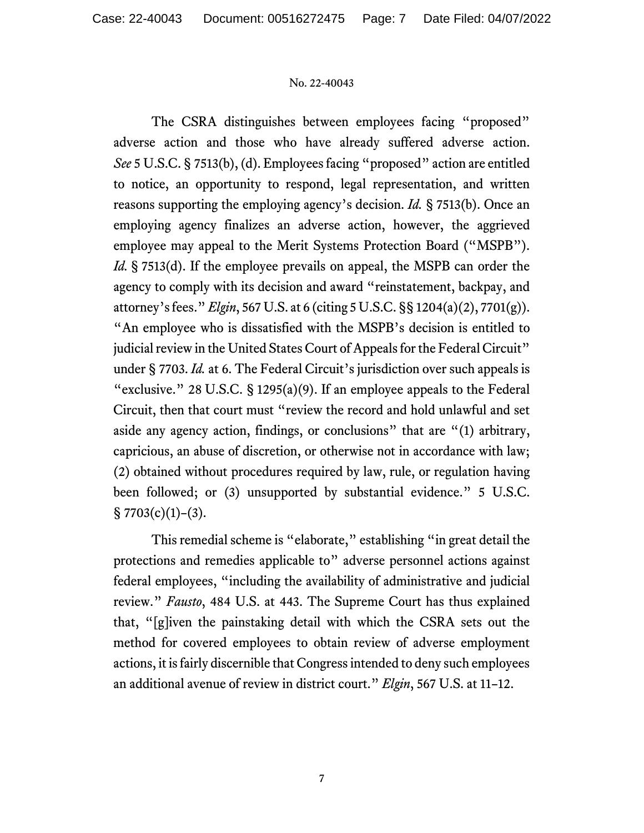The CSRA distinguishes between employees facing "proposed" adverse action and those who have already suffered adverse action. *See* 5 U.S.C. § 7513(b), (d). Employees facing "proposed" action are entitled to notice, an opportunity to respond, legal representation, and written reasons supporting the employing agency's decision. *Id.* § 7513(b). Once an employing agency finalizes an adverse action, however, the aggrieved employee may appeal to the Merit Systems Protection Board ("MSPB"). *Id.* § 7513(d). If the employee prevails on appeal, the MSPB can order the agency to comply with its decision and award "reinstatement, backpay, and attorney's fees." *Elgin*, 567 U.S. at 6 (citing 5 U.S.C. §§ 1204(a)(2), 7701(g)). "An employee who is dissatisfied with the MSPB's decision is entitled to judicial review in the United States Court of Appeals for the Federal Circuit" under § 7703. *Id.* at 6. The Federal Circuit's jurisdiction over such appeals is "exclusive." 28 U.S.C. § 1295(a)(9). If an employee appeals to the Federal Circuit, then that court must "review the record and hold unlawful and set aside any agency action, findings, or conclusions" that are "(1) arbitrary, capricious, an abuse of discretion, or otherwise not in accordance with law; (2) obtained without procedures required by law, rule, or regulation having been followed; or (3) unsupported by substantial evidence." 5 U.S.C.  $§ 7703(c)(1)-(3).$ 

This remedial scheme is "elaborate," establishing "in great detail the protections and remedies applicable to" adverse personnel actions against federal employees, "including the availability of administrative and judicial review." *Fausto*, 484 U.S. at 443. The Supreme Court has thus explained that, "[g]iven the painstaking detail with which the CSRA sets out the method for covered employees to obtain review of adverse employment actions, it is fairly discernible that Congress intended to deny such employees an additional avenue of review in district court." *Elgin*, 567 U.S. at 11–12.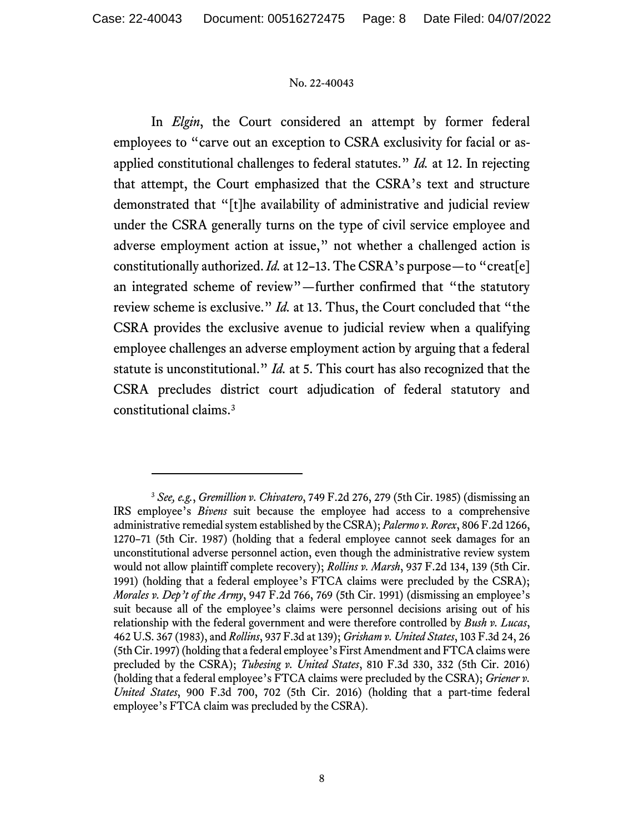In *Elgin*, the Court considered an attempt by former federal employees to "carve out an exception to CSRA exclusivity for facial or asapplied constitutional challenges to federal statutes." *Id.* at 12. In rejecting that attempt, the Court emphasized that the CSRA's text and structure demonstrated that "[t]he availability of administrative and judicial review under the CSRA generally turns on the type of civil service employee and adverse employment action at issue," not whether a challenged action is constitutionally authorized. *Id.* at 12–13. The CSRA's purpose—to "creat[e] an integrated scheme of review"—further confirmed that "the statutory review scheme is exclusive." *Id.* at 13. Thus, the Court concluded that "the CSRA provides the exclusive avenue to judicial review when a qualifying employee challenges an adverse employment action by arguing that a federal statute is unconstitutional." *Id.* at 5. This court has also recognized that the CSRA precludes district court adjudication of federal statutory and constitutional claims.[3](#page-7-0)

<span id="page-7-0"></span><sup>3</sup> *See, e.g.*, *Gremillion v. Chivatero*, 749 F.2d 276, 279 (5th Cir. 1985) (dismissing an IRS employee's *Bivens* suit because the employee had access to a comprehensive administrative remedial system established by the CSRA); *Palermo v. Rorex*, 806 F.2d 1266, 1270–71 (5th Cir. 1987) (holding that a federal employee cannot seek damages for an unconstitutional adverse personnel action, even though the administrative review system would not allow plaintiff complete recovery); *Rollins v. Marsh*, 937 F.2d 134, 139 (5th Cir. 1991) (holding that a federal employee's FTCA claims were precluded by the CSRA); *Morales v. Dep't of the Army*, 947 F.2d 766, 769 (5th Cir. 1991) (dismissing an employee's suit because all of the employee's claims were personnel decisions arising out of his relationship with the federal government and were therefore controlled by *Bush v. Lucas*, 462 U.S. 367 (1983), and *Rollins*, 937 F.3d at 139); *Grisham v. United States*, 103 F.3d 24, 26 (5th Cir. 1997) (holding that a federal employee's First Amendment and FTCA claims were precluded by the CSRA); *Tubesing v. United States*, 810 F.3d 330, 332 (5th Cir. 2016) (holding that a federal employee's FTCA claims were precluded by the CSRA); *Griener v. United States*, 900 F.3d 700, 702 (5th Cir. 2016) (holding that a part-time federal employee's FTCA claim was precluded by the CSRA).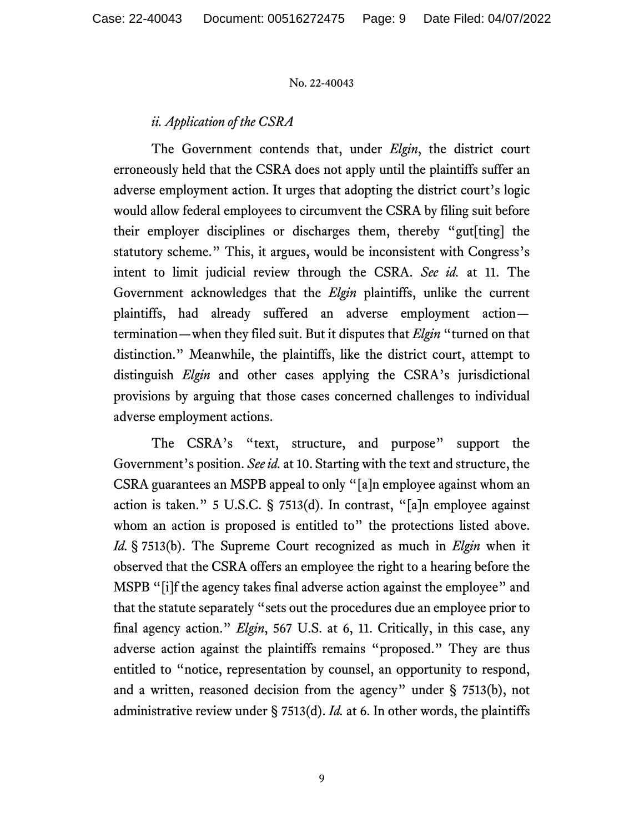# *ii. Application of the CSRA*

The Government contends that, under *Elgin*, the district court erroneously held that the CSRA does not apply until the plaintiffs suffer an adverse employment action. It urges that adopting the district court's logic would allow federal employees to circumvent the CSRA by filing suit before their employer disciplines or discharges them, thereby "gut[ting] the statutory scheme." This, it argues, would be inconsistent with Congress's intent to limit judicial review through the CSRA. *See id.* at 11. The Government acknowledges that the *Elgin* plaintiffs, unlike the current plaintiffs, had already suffered an adverse employment action termination—when they filed suit. But it disputes that *Elgin* "turned on that distinction." Meanwhile, the plaintiffs, like the district court, attempt to distinguish *Elgin* and other cases applying the CSRA's jurisdictional provisions by arguing that those cases concerned challenges to individual adverse employment actions.

The CSRA's "text, structure, and purpose" support the Government's position. *See id.* at 10. Starting with the text and structure, the CSRA guarantees an MSPB appeal to only "[a]n employee against whom an action is taken." 5 U.S.C. § 7513(d). In contrast, "[a]n employee against whom an action is proposed is entitled to" the protections listed above. *Id.* § 7513(b). The Supreme Court recognized as much in *Elgin* when it observed that the CSRA offers an employee the right to a hearing before the MSPB "[i]f the agency takes final adverse action against the employee" and that the statute separately "sets out the procedures due an employee prior to final agency action." *Elgin*, 567 U.S. at 6, 11. Critically, in this case, any adverse action against the plaintiffs remains "proposed." They are thus entitled to "notice, representation by counsel, an opportunity to respond, and a written, reasoned decision from the agency" under  $\S$  7513(b), not administrative review under § 7513(d). *Id.* at 6. In other words, the plaintiffs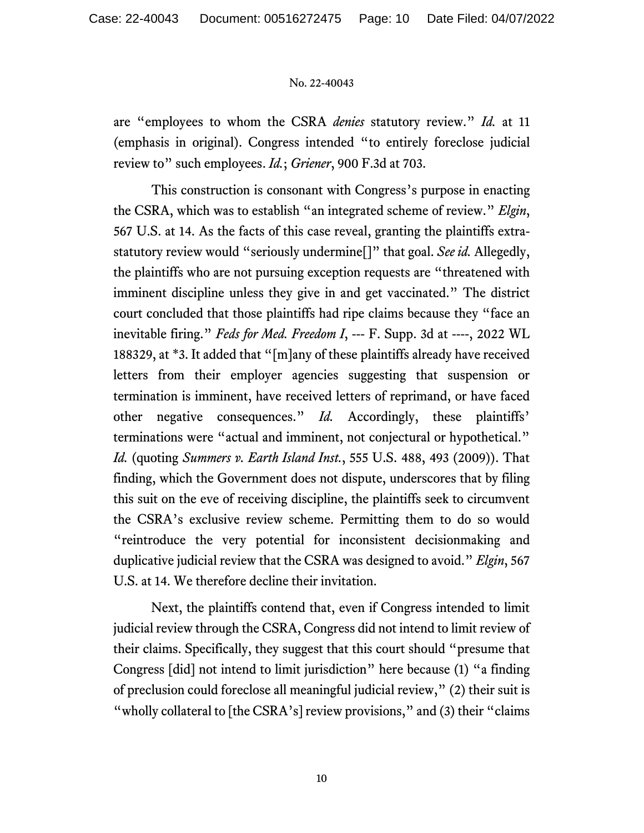are "employees to whom the CSRA *denies* statutory review." *Id.* at 11 (emphasis in original). Congress intended "to entirely foreclose judicial review to" such employees. *Id.*; *Griener*, 900 F.3d at 703.

This construction is consonant with Congress's purpose in enacting the CSRA, which was to establish "an integrated scheme of review." *Elgin*, 567 U.S. at 14. As the facts of this case reveal, granting the plaintiffs extrastatutory review would "seriously undermine[]" that goal. *See id.* Allegedly, the plaintiffs who are not pursuing exception requests are "threatened with imminent discipline unless they give in and get vaccinated." The district court concluded that those plaintiffs had ripe claims because they "face an inevitable firing." *Feds for Med. Freedom I*, --- F. Supp. 3d at ----, 2022 WL 188329, at \*3. It added that "[m]any of these plaintiffs already have received letters from their employer agencies suggesting that suspension or termination is imminent, have received letters of reprimand, or have faced other negative consequences." *Id.* Accordingly, these plaintiffs' terminations were "actual and imminent, not conjectural or hypothetical." *Id.* (quoting *Summers v. Earth Island Inst.*, 555 U.S. 488, 493 (2009)). That finding, which the Government does not dispute, underscores that by filing this suit on the eve of receiving discipline, the plaintiffs seek to circumvent the CSRA's exclusive review scheme. Permitting them to do so would "reintroduce the very potential for inconsistent decisionmaking and duplicative judicial review that the CSRA was designed to avoid." *Elgin*, 567 U.S. at 14. We therefore decline their invitation.

Next, the plaintiffs contend that, even if Congress intended to limit judicial review through the CSRA, Congress did not intend to limit review of their claims. Specifically, they suggest that this court should "presume that Congress [did] not intend to limit jurisdiction" here because (1) "a finding of preclusion could foreclose all meaningful judicial review," (2) their suit is "wholly collateral to [the CSRA's] review provisions," and (3) their "claims"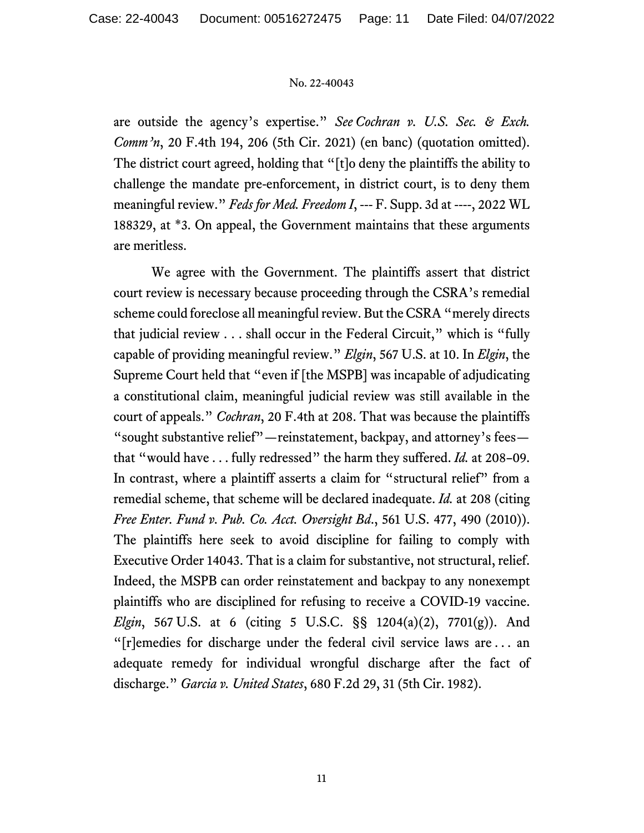are outside the agency's expertise." *See Cochran v. U.S. Sec. & Exch. Comm'n*, 20 F.4th 194, 206 (5th Cir. 2021) (en banc) (quotation omitted). The district court agreed, holding that "[t]o deny the plaintiffs the ability to challenge the mandate pre-enforcement, in district court, is to deny them meaningful review." *Feds for Med. Freedom I*, --- F. Supp. 3d at ----, 2022 WL 188329, at \*3. On appeal, the Government maintains that these arguments are meritless.

We agree with the Government. The plaintiffs assert that district court review is necessary because proceeding through the CSRA's remedial scheme could foreclose all meaningful review. But the CSRA "merely directs that judicial review . . . shall occur in the Federal Circuit," which is "fully capable of providing meaningful review." *Elgin*, 567 U.S. at 10. In *Elgin*, the Supreme Court held that "even if [the MSPB] was incapable of adjudicating a constitutional claim, meaningful judicial review was still available in the court of appeals." *Cochran*, 20 F.4th at 208. That was because the plaintiffs "sought substantive relief"—reinstatement, backpay, and attorney's fees that "would have . . . fully redressed" the harm they suffered. *Id.* at 208–09. In contrast, where a plaintiff asserts a claim for "structural relief" from a remedial scheme, that scheme will be declared inadequate. *Id.* at 208 (citing *Free Enter. Fund v. Pub. Co. Acct. Oversight Bd*., 561 U.S. 477, 490 (2010)). The plaintiffs here seek to avoid discipline for failing to comply with Executive Order 14043. That is a claim for substantive, not structural, relief. Indeed, the MSPB can order reinstatement and backpay to any nonexempt plaintiffs who are disciplined for refusing to receive a COVID-19 vaccine. *Elgin*, 567 U.S. at 6 (citing 5 U.S.C. §§ 1204(a)(2), 7701(g)). And "[r]emedies for discharge under the federal civil service laws are . . . an adequate remedy for individual wrongful discharge after the fact of discharge." *Garcia v. United States*, 680 F.2d 29, 31 (5th Cir. 1982).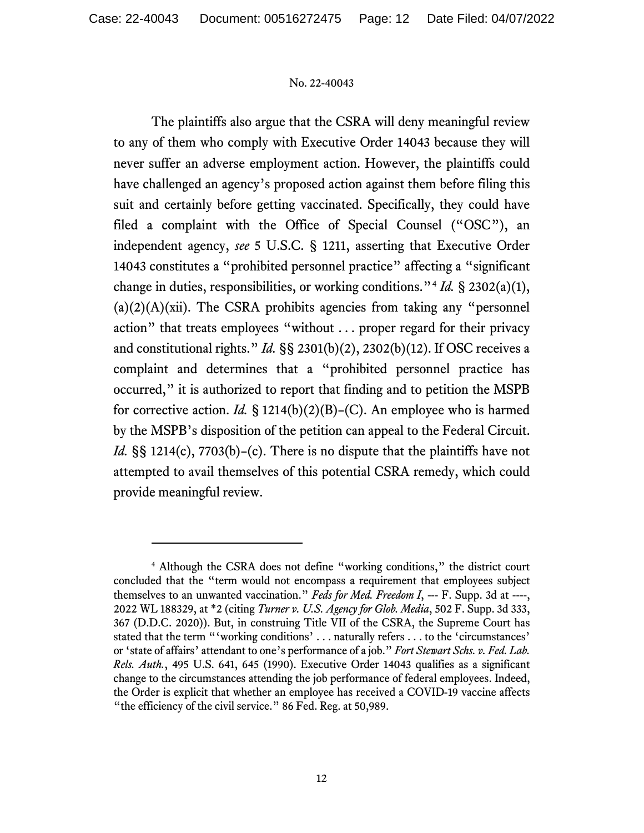The plaintiffs also argue that the CSRA will deny meaningful review to any of them who comply with Executive Order 14043 because they will never suffer an adverse employment action. However, the plaintiffs could have challenged an agency's proposed action against them before filing this suit and certainly before getting vaccinated. Specifically, they could have filed a complaint with the Office of Special Counsel ("OSC"), an independent agency, *see* 5 U.S.C. § 1211, asserting that Executive Order 14043 constitutes a "prohibited personnel practice" affecting a "significant change in duties, responsibilities, or working conditions."[4](#page-11-0) *Id.* § 2302(a)(1),  $(a)(2)(A)(xii)$ . The CSRA prohibits agencies from taking any "personnel" action" that treats employees "without . . . proper regard for their privacy and constitutional rights." *Id.* §§ 2301(b)(2), 2302(b)(12). If OSC receives a complaint and determines that a "prohibited personnel practice has occurred," it is authorized to report that finding and to petition the MSPB for corrective action. *Id.* § 1214(b)(2)(B)–(C). An employee who is harmed by the MSPB's disposition of the petition can appeal to the Federal Circuit. *Id.* §§ 1214(c), 7703(b)–(c). There is no dispute that the plaintiffs have not attempted to avail themselves of this potential CSRA remedy, which could provide meaningful review.

<span id="page-11-0"></span><sup>4</sup> Although the CSRA does not define "working conditions," the district court concluded that the "term would not encompass a requirement that employees subject themselves to an unwanted vaccination." *Feds for Med. Freedom I*, --- F. Supp. 3d at ----, 2022 WL 188329, at \*2 (citing *Turner v. U.S. Agency for Glob. Media*, 502 F. Supp. 3d 333, 367 (D.D.C. 2020)). But, in construing Title VII of the CSRA, the Supreme Court has stated that the term "'working conditions' ... naturally refers ... to the 'circumstances' or 'state of affairs' attendant to one's performance of a job." *Fort Stewart Schs. v. Fed. Lab. Rels. Auth.*, 495 U.S. 641, 645 (1990). Executive Order 14043 qualifies as a significant change to the circumstances attending the job performance of federal employees. Indeed, the Order is explicit that whether an employee has received a COVID-19 vaccine affects "the efficiency of the civil service." 86 Fed. Reg. at 50,989.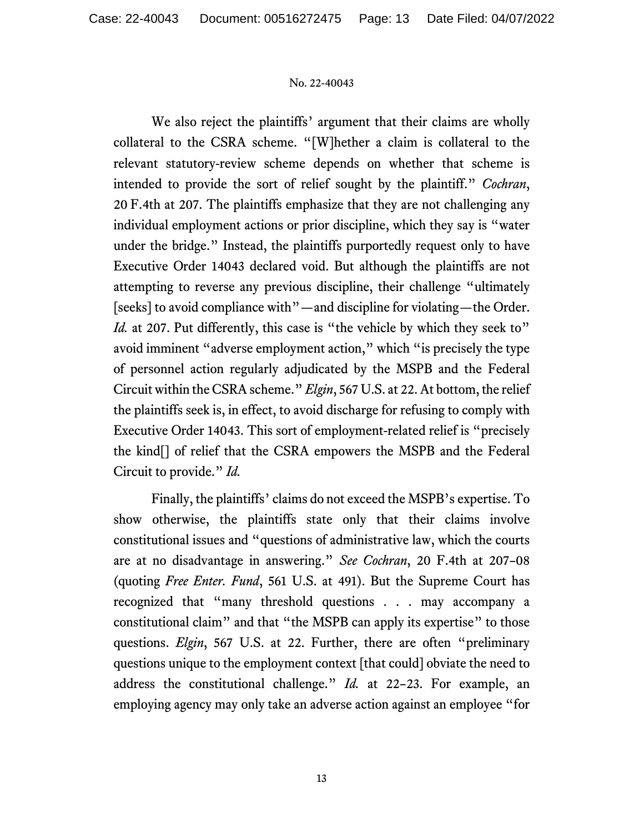We also reject the plaintiffs' argument that their claims are wholly collateral to the CSRA scheme. "[W]hether a claim is collateral to the relevant statutory-review scheme depends on whether that scheme is intended to provide the sort of relief sought by the plaintiff." *Cochran*, 20 F.4th at 207. The plaintiffs emphasize that they are not challenging any individual employment actions or prior discipline, which they say is "water under the bridge." Instead, the plaintiffs purportedly request only to have Executive Order 14043 declared void. But although the plaintiffs are not attempting to reverse any previous discipline, their challenge "ultimately [seeks] to avoid compliance with"—and discipline for violating—the Order. *Id.* at 207. Put differently, this case is "the vehicle by which they seek to" avoid imminent "adverse employment action," which "is precisely the type of personnel action regularly adjudicated by the MSPB and the Federal Circuit within the CSRA scheme." *Elgin*, 567 U.S. at 22.At bottom, the relief the plaintiffs seek is, in effect, to avoid discharge for refusing to comply with Executive Order 14043. This sort of employment-related relief is "precisely the kind[] of relief that the CSRA empowers the MSPB and the Federal Circuit to provide." *Id.*

Finally, the plaintiffs' claims do not exceed the MSPB's expertise. To show otherwise, the plaintiffs state only that their claims involve constitutional issues and "questions of administrative law, which the courts are at no disadvantage in answering." *See Cochran*, 20 F.4th at 207–08 (quoting *Free Enter. Fund*, 561 U.S. at 491). But the Supreme Court has recognized that "many threshold questions . . . may accompany a constitutional claim" and that "the MSPB can apply its expertise" to those questions. *Elgin*, 567 U.S. at 22. Further, there are often "preliminary questions unique to the employment context [that could] obviate the need to address the constitutional challenge." *Id.* at 22–23. For example, an employing agency may only take an adverse action against an employee "for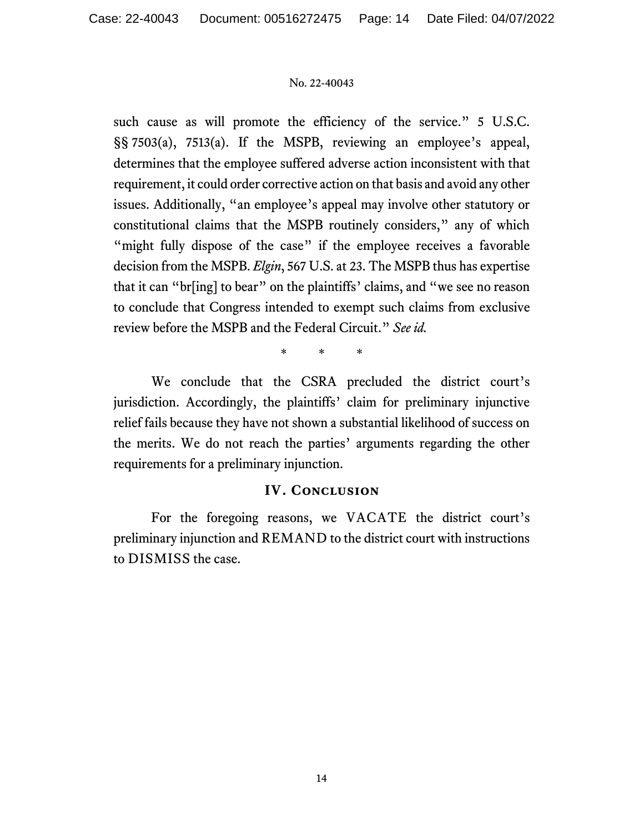such cause as will promote the efficiency of the service." 5 U.S.C. §§ 7503(a), 7513(a). If the MSPB, reviewing an employee's appeal, determines that the employee suffered adverse action inconsistent with that requirement, it could order corrective action on that basis and avoid any other issues. Additionally, "an employee's appeal may involve other statutory or constitutional claims that the MSPB routinely considers," any of which "might fully dispose of the case" if the employee receives a favorable decision from the MSPB. *Elgin*, 567 U.S. at 23. The MSPB thus has expertise that it can "br[ing] to bear" on the plaintiffs' claims, and "we see no reason to conclude that Congress intended to exempt such claims from exclusive review before the MSPB and the Federal Circuit." *See id.*

\* \* \*

We conclude that the CSRA precluded the district court's jurisdiction. Accordingly, the plaintiffs' claim for preliminary injunctive relief fails because they have not shown a substantial likelihood of success on the merits. We do not reach the parties' arguments regarding the other requirements for a preliminary injunction.

# **IV. Conclusion**

For the foregoing reasons, we VACATE the district court's preliminary injunction and REMAND to the district court with instructions to DISMISS the case.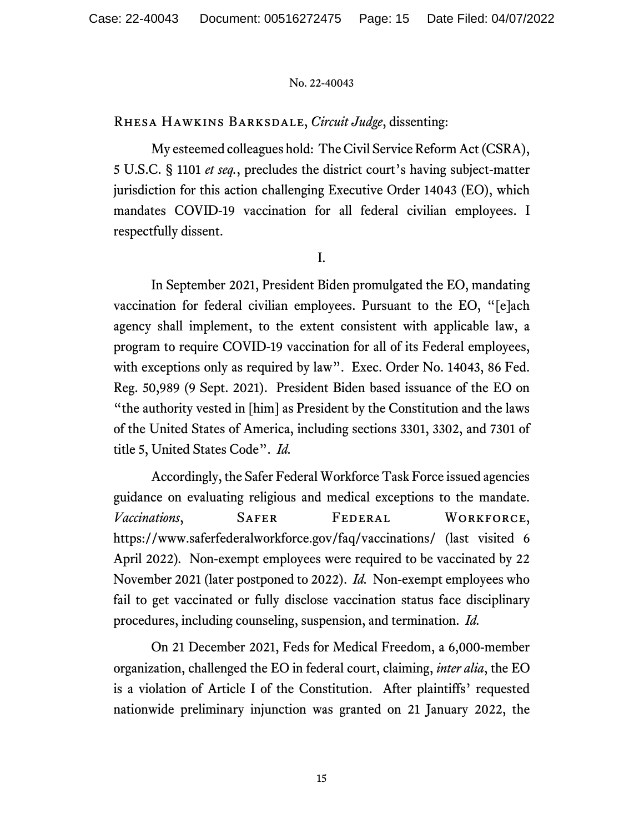Rhesa Hawkins Barksdale, *Circuit Judge*, dissenting:

My esteemed colleagues hold: The Civil Service Reform Act (CSRA), 5 U.S.C. § 1101 *et seq.*, precludes the district court's having subject-matter jurisdiction for this action challenging Executive Order 14043 (EO), which mandates COVID-19 vaccination for all federal civilian employees. I respectfully dissent.

I.

In September 2021, President Biden promulgated the EO, mandating vaccination for federal civilian employees. Pursuant to the EO, "[e]ach agency shall implement, to the extent consistent with applicable law, a program to require COVID-19 vaccination for all of its Federal employees, with exceptions only as required by law". Exec. Order No. 14043, 86 Fed. Reg. 50,989 (9 Sept. 2021). President Biden based issuance of the EO on "the authority vested in [him] as President by the Constitution and the laws of the United States of America, including sections 3301, 3302, and 7301 of title 5, United States Code". *Id.*

Accordingly, the Safer Federal Workforce Task Force issued agencies guidance on evaluating religious and medical exceptions to the mandate. *Vaccinations*, SAFER FEDERAL WORKFORCE, https://www.saferfederalworkforce.gov/faq/vaccinations/ (last visited 6 April 2022)*.* Non-exempt employees were required to be vaccinated by 22 November 2021 (later postponed to 2022). *Id.* Non-exempt employees who fail to get vaccinated or fully disclose vaccination status face disciplinary procedures, including counseling, suspension, and termination. *Id.*

On 21 December 2021, Feds for Medical Freedom, a 6,000-member organization, challenged the EO in federal court, claiming, *inter alia*, the EO is a violation of Article I of the Constitution.After plaintiffs' requested nationwide preliminary injunction was granted on 21 January 2022, the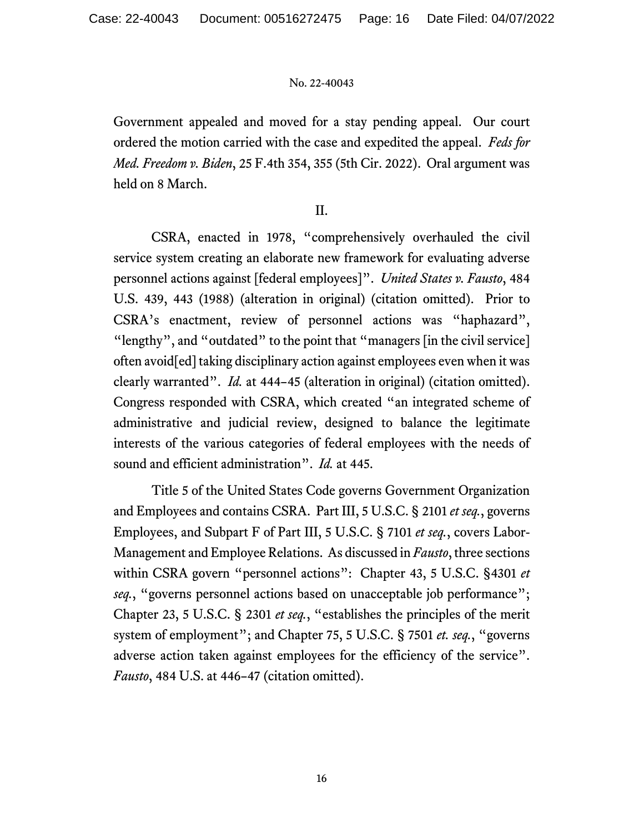Government appealed and moved for a stay pending appeal. Our court ordered the motion carried with the case and expedited the appeal. *Feds for Med. Freedom v. Biden*, 25 F.4th 354, 355 (5th Cir. 2022). Oral argument was held on 8 March.

## II.

CSRA, enacted in 1978, "comprehensively overhauled the civil service system creating an elaborate new framework for evaluating adverse personnel actions against [federal employees]". *United States v. Fausto*, 484 U.S. 439, 443 (1988) (alteration in original) (citation omitted). Prior to CSRA's enactment, review of personnel actions was "haphazard", "lengthy", and "outdated" to the point that "managers [in the civil service] often avoid[ed] taking disciplinary action against employees even when it was clearly warranted". *Id.* at 444–45 (alteration in original) (citation omitted). Congress responded with CSRA, which created "an integrated scheme of administrative and judicial review, designed to balance the legitimate interests of the various categories of federal employees with the needs of sound and efficient administration". *Id.* at 445.

Title 5 of the United States Code governs Government Organization and Employees and contains CSRA. Part III, 5 U.S.C. § 2101 *et seq.*, governs Employees, and Subpart F of Part III, 5 U.S.C. § 7101 *et seq.*, covers Labor-Management and Employee Relations. As discussed in *Fausto*, three sections within CSRA govern "personnel actions": Chapter 43, 5 U.S.C. §4301 *et seq.*, "governs personnel actions based on unacceptable job performance"; Chapter 23, 5 U.S.C. § 2301 *et seq.*, "establishes the principles of the merit system of employment"; and Chapter 75, 5 U.S.C. § 7501 *et. seq.*, "governs adverse action taken against employees for the efficiency of the service". *Fausto*, 484 U.S. at 446–47 (citation omitted).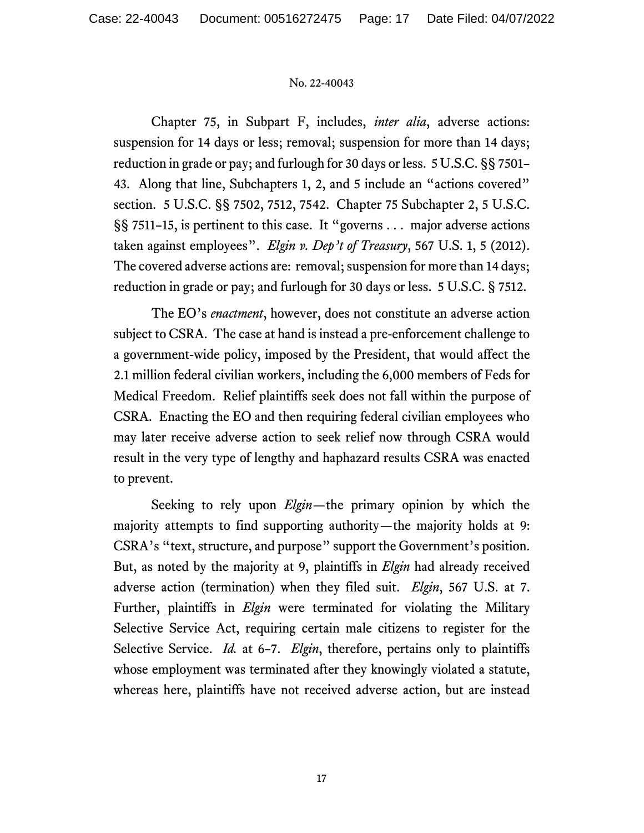Chapter 75, in Subpart F, includes, *inter alia*, adverse actions: suspension for 14 days or less; removal; suspension for more than 14 days; reduction in grade or pay; and furlough for 30 days or less. 5 U.S.C. §§ 7501– 43. Along that line, Subchapters 1, 2, and 5 include an "actions covered" section. 5 U.S.C. §§ 7502, 7512, 7542. Chapter 75 Subchapter 2, 5 U.S.C. §§ 7511–15, is pertinent to this case. It "governs . . . major adverse actions taken against employees". *Elgin v. Dep't of Treasury*, 567 U.S. 1, 5 (2012). The covered adverse actions are: removal; suspension for more than 14 days; reduction in grade or pay; and furlough for 30 days or less. 5 U.S.C. § 7512.

The EO's *enactment*, however, does not constitute an adverse action subject to CSRA. The case at hand is instead a pre-enforcement challenge to a government-wide policy, imposed by the President, that would affect the 2.1 million federal civilian workers, including the 6,000 members of Feds for Medical Freedom. Relief plaintiffs seek does not fall within the purpose of CSRA. Enacting the EO and then requiring federal civilian employees who may later receive adverse action to seek relief now through CSRA would result in the very type of lengthy and haphazard results CSRA was enacted to prevent.

Seeking to rely upon *Elgin*—the primary opinion by which the majority attempts to find supporting authority—the majority holds at 9: CSRA's "text, structure, and purpose" support the Government's position. But, as noted by the majority at 9, plaintiffs in *Elgin* had already received adverse action (termination) when they filed suit. *Elgin*, 567 U.S. at 7. Further, plaintiffs in *Elgin* were terminated for violating the Military Selective Service Act, requiring certain male citizens to register for the Selective Service. *Id.* at 6–7. *Elgin*, therefore, pertains only to plaintiffs whose employment was terminated after they knowingly violated a statute, whereas here, plaintiffs have not received adverse action, but are instead